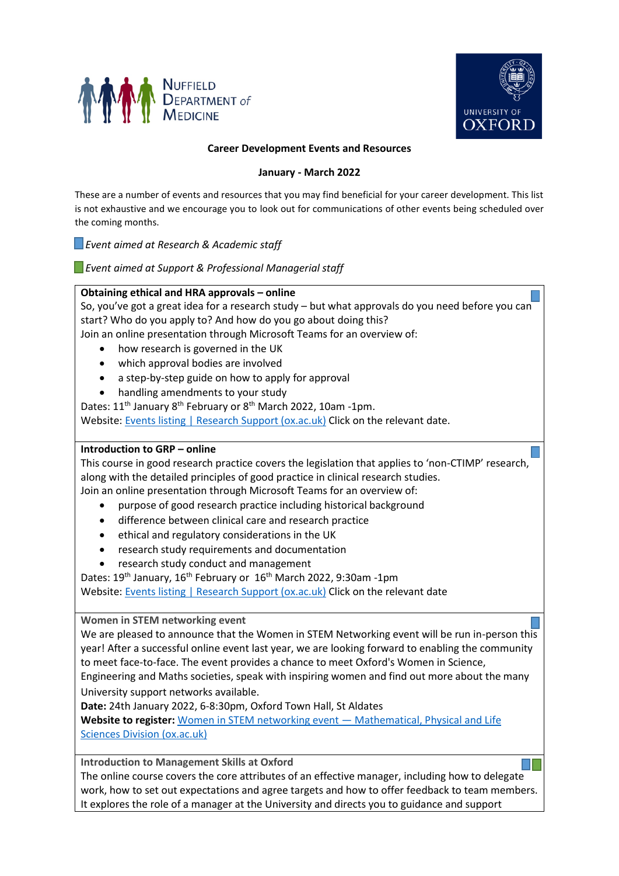



### **Career Development Events and Resources**

### **January - March 2022**

These are a number of events and resources that you may find beneficial for your career development. This list is not exhaustive and we encourage you to look out for communications of other events being scheduled over the coming months.

 *Event aimed at Research & Academic staff*

 *Event aimed at Support & Professional Managerial staff*

# **Obtaining ethical and HRA approvals – online**

So, you've got a great idea for a research study  $-$  but what approvals do you need before you can start? Who do you apply to? And how do you go about doing this?

Join an online presentation through Microsoft Teams for an overview of:

- how research is governed in the UK
- which approval bodies are involved
- a step-by-step guide on how to apply for approval
- handling amendments to your study

Dates: 11<sup>th</sup> January 8<sup>th</sup> February or 8<sup>th</sup> March 2022, 10am -1pm.

Website: [Events listing | Research Support \(ox.ac.uk\)](https://researchsupport.admin.ox.ac.uk/support/events?event-date-to-477756=2022-03-31&page-477756=0) Click on the relevant date.

## **Introduction to GRP – online**

This course in good research practice covers the legislation that applies to 'non-CTIMP' research, along with the detailed principles of good practice in clinical research studies. Join an online presentation through Microsoft Teams for an overview of:

- purpose of good research practice including historical background
- difference between clinical care and research practice
- ethical and regulatory considerations in the UK
- research study requirements and documentation
- research study conduct and management

Dates: 19<sup>th</sup> January, 16<sup>th</sup> February or 16<sup>th</sup> March 2022, 9:30am -1pm

Website: [Events listing | Research Support \(ox.ac.uk\)](https://researchsupport.admin.ox.ac.uk/support/events?event-date-to-477756=2022-03-31&page-477756=0) Click on the relevant date

**Women in STEM networking event** 

We are pleased to announce that the Women in STEM Networking event will be run in-person this year! After a successful online event last year, we are looking forward to enabling the community to meet face-to-face. The event provides a chance to meet Oxford's Women in Science, Engineering and Maths societies, speak with inspiring women and find out more about the many University support networks available.

**Date:** 24th January 2022, 6-8:30pm, Oxford Town Hall, St Aldates

**Website to register:** [Women in STEM networking event](https://www.mpls.ox.ac.uk/training/enterprise/enterprising-women/women-in-stem-networking-event) — Mathematical, Physical and Life [Sciences Division \(ox.ac.uk\)](https://www.mpls.ox.ac.uk/training/enterprise/enterprising-women/women-in-stem-networking-event)

**Introduction to Management Skills at Oxford** 

The online course covers the core attributes of an effective manager, including how to delegate work, how to set out expectations and agree targets and how to offer feedback to team members. It explores the role of a manager at the University and directs you to guidance and support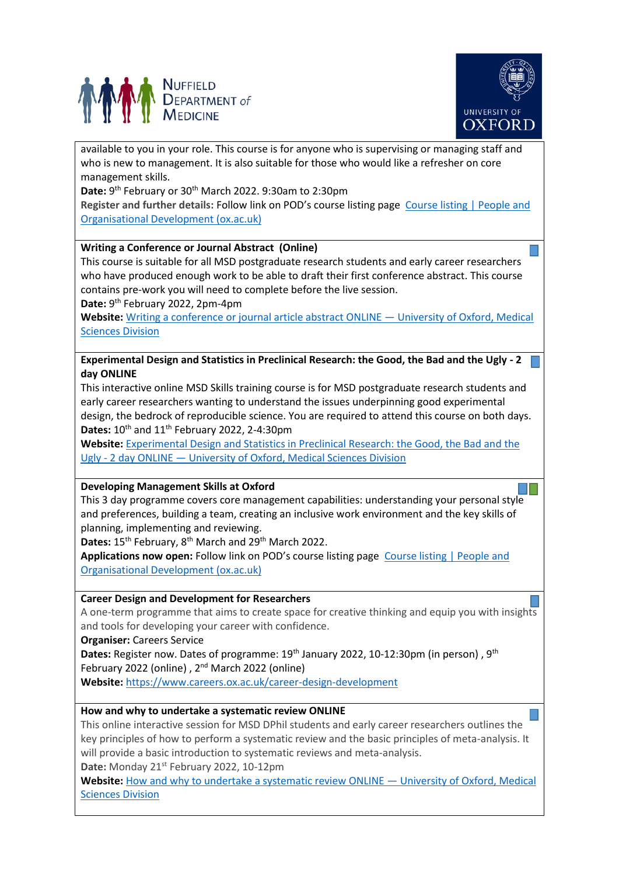



available to you in your role. This course is for anyone who is supervising or managing staff and who is new to management. It is also suitable for those who would like a refresher on core management skills.

Date: 9<sup>th</sup> February or 30<sup>th</sup> March 2022. 9:30am to 2:30pm

**Register and further details:** Follow link on POD's course listing page [Course listing | People and](https://pod.admin.ox.ac.uk/course-listing)  [Organisational Development \(ox.ac.uk\)](https://pod.admin.ox.ac.uk/course-listing)

## **Writing a Conference or Journal Abstract (Online)**

This course is suitable for all MSD postgraduate research students and early career researchers who have produced enough work to be able to draft their first conference abstract. This course contains pre-work you will need to complete before the live session.

Date: 9<sup>th</sup> February 2022, 2pm-4pm

**Website:** [Writing a conference or journal article abstract ONLINE](https://www.medsci.ox.ac.uk/study/skillstraining/calendar/writing-a-conference-or-journal-article-abstract-online-4) — University of Oxford, Medical [Sciences Division](https://www.medsci.ox.ac.uk/study/skillstraining/calendar/writing-a-conference-or-journal-article-abstract-online-4)

**Experimental Design and Statistics in Preclinical Research: the Good, the Bad and the Ugly - 2 day ONLINE**

This interactive online MSD Skills training course is for MSD postgraduate research students and early career researchers wanting to understand the issues underpinning good experimental design, the bedrock of reproducible science. You are required to attend this course on both days. Dates: 10<sup>th</sup> and 11<sup>th</sup> February 2022, 2-4:30pm

**Website:** [Experimental Design and Statistics in Preclinical Research: the Good, the Bad and the](https://www.medsci.ox.ac.uk/study/skillstraining/calendar/experimental-design-and-statistics-in-preclinical-research-the-good-the-bad-and-the-ugly-2-day-online-5)  Ugly - 2 day ONLINE — [University of Oxford, Medical Sciences Division](https://www.medsci.ox.ac.uk/study/skillstraining/calendar/experimental-design-and-statistics-in-preclinical-research-the-good-the-bad-and-the-ugly-2-day-online-5)

#### **Developing Management Skills at Oxford**

This 3 day programme covers core management capabilities: understanding your personal style and preferences, building a team, creating an inclusive work environment and the key skills of planning, implementing and reviewing.

Dates: 15<sup>th</sup> February, 8<sup>th</sup> March and 29<sup>th</sup> March 2022.

Applications now open: Follow link on POD's course listing page Course listing | People and [Organisational Development \(ox.ac.uk\)](https://pod.admin.ox.ac.uk/course-listing)

#### **Career Design and Development for Researchers**

A one-term programme that aims to create space for creative thinking and equip you with insights and tools for developing your career with confidence.

**Organiser:** Careers Service

**Dates:** Register now. Dates of programme: 19<sup>th</sup> January 2022, 10-12:30pm (in person), 9<sup>th</sup> February 2022 (online) , 2nd March 2022 (online)

**Website:** <https://www.careers.ox.ac.uk/career-design-development>

# **How and why to undertake a systematic review ONLINE**

This online interactive session for MSD DPhil students and early career researchers outlines the key principles of how to perform a systematic review and the basic principles of meta-analysis. It will provide a basic introduction to systematic reviews and meta-analysis.

**Date:** Monday 21st February 2022, 10-12pm

**Website:** [How and why to undertake a systematic review ONLINE](https://www.medsci.ox.ac.uk/study/skillstraining/calendar/how-and-why-to-undertake-a-systematic-review-online-2) — University of Oxford, Medical [Sciences Division](https://www.medsci.ox.ac.uk/study/skillstraining/calendar/how-and-why-to-undertake-a-systematic-review-online-2)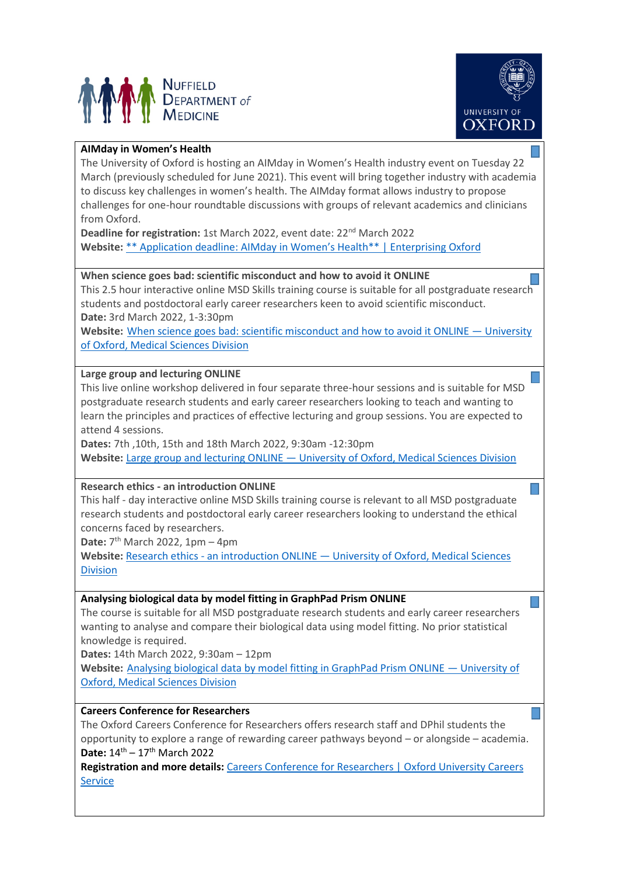



# **AIMday in Women's Health**

The University of Oxford is hosting an AIMday in Women's Health industry event on Tuesday 22 March (previously scheduled for June 2021). This event will bring together industry with academia to discuss key challenges in women's health. The AIMday format allows industry to propose challenges for one-hour roundtable discussions with groups of relevant academics and clinicians from Oxford.

**Deadline for registration:** 1st March 2022, event date: 22<sup>nd</sup> March 2022 **Website:** [\\*\\* Application deadline: AIMday in Women's Health\\*\\* | Enterprising Oxford](https://eship.ox.ac.uk/event/application-deadline-aimday-in-womens-health/)

## **When science goes bad: scientific misconduct and how to avoid it ONLINE**

This 2.5 hour interactive online MSD Skills training course is suitable for all postgraduate research students and postdoctoral early career researchers keen to avoid scientific misconduct. **Date:** 3rd March 2022, 1-3:30pm

**Website:** [When science goes bad: scientific misconduct and how to avoid it ONLINE](https://www.medsci.ox.ac.uk/study/skillstraining/calendar/when-science-goes-bad-scientific-misconduct-and-how-to-avoid-it-online-3) — University [of Oxford, Medical Sciences Division](https://www.medsci.ox.ac.uk/study/skillstraining/calendar/when-science-goes-bad-scientific-misconduct-and-how-to-avoid-it-online-3)

## **Large group and lecturing ONLINE**

This live online workshop delivered in four separate three-hour sessions and is suitable for MSD postgraduate research students and early career researchers looking to teach and wanting to learn the principles and practices of effective lecturing and group sessions. You are expected to attend 4 sessions.

**Dates:** 7th ,10th, 15th and 18th March 2022, 9:30am -12:30pm **Website:** Large group and lecturing ONLINE — [University of Oxford, Medical Sciences Division](https://www.medsci.ox.ac.uk/study/skillstraining/calendar/large-group-and-lecturing-online-4)

# **Research ethics - [an introduction ONLINE](https://www.medsci.ox.ac.uk/study/skillstraining/calendar/research-ethics-an-introduction-online-1)**

This half - day interactive online MSD Skills training course is relevant to all MSD postgraduate research students and postdoctoral early career researchers looking to understand the ethical concerns faced by researchers.

Date: 7<sup>th</sup> March 2022, 1pm - 4pm

**Website:** Research ethics - an introduction ONLINE — [University of Oxford, Medical Sciences](https://www.medsci.ox.ac.uk/study/skillstraining/calendar/research-ethics-an-introduction-online-1)  [Division](https://www.medsci.ox.ac.uk/study/skillstraining/calendar/research-ethics-an-introduction-online-1)

# **Analysing biological data by model fitting in GraphPad Prism ONLINE**

The course is suitable for all MSD postgraduate research students and early career researchers wanting to analyse and compare their biological data using model fitting. No prior statistical knowledge is required.

**Dates:** 14th March 2022, 9:30am – 12pm

**Website:** [Analysing biological data by model fitting in GraphPad Prism ONLINE](https://www.medsci.ox.ac.uk/study/skillstraining/calendar/analysing-biological-data-by-model-fitting-in-graphpad-prism-online-3) — University of [Oxford, Medical Sciences Division](https://www.medsci.ox.ac.uk/study/skillstraining/calendar/analysing-biological-data-by-model-fitting-in-graphpad-prism-online-3)

# **Careers Conference for Researchers**

The Oxford Careers Conference for Researchers offers research staff and DPhil students the opportunity to explore a range of rewarding career pathways beyond – or alongside – academia. Date:  $14^{\text{th}} - 17^{\text{th}}$  March 2022

**Registration and more details:** [Careers Conference for Researchers | Oxford University Careers](https://www.careers.ox.ac.uk/researchers-conference/)  [Service](https://www.careers.ox.ac.uk/researchers-conference/)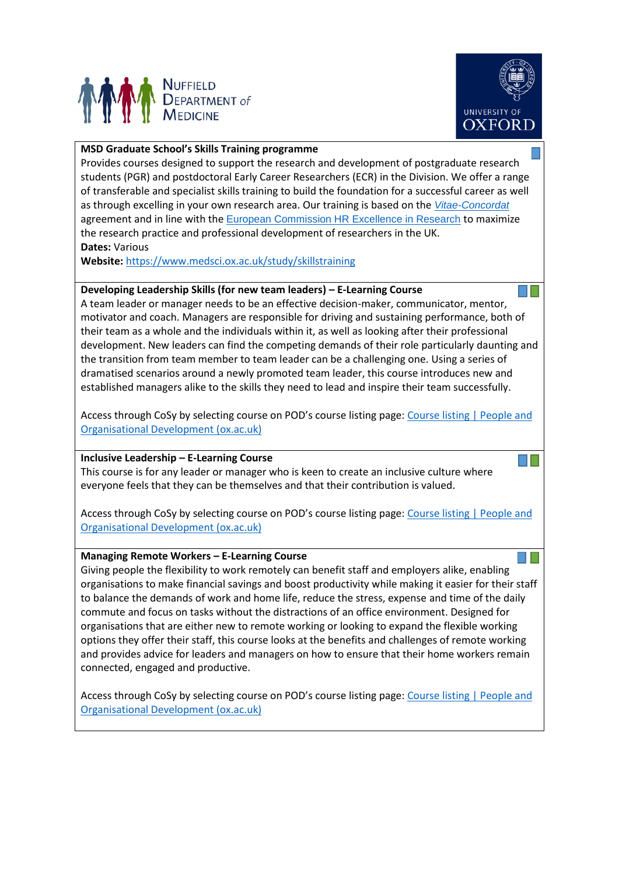



## **MSD Graduate School's Skills Training programme**

Provides courses designed to support the research and development of postgraduate research students (PGR) and postdoctoral Early Career Researchers (ECR) in the Division. We offer a range of transferable and specialist skills training to build the foundation for a successful career as well as through excelling in your own research area. Our training is based on the *[Vitae-Concordat](https://www.vitae.ac.uk/policy/concordat)* agreement and in line with the [European Commission HR Excellence in Research](https://www.vitae.ac.uk/policy/hr-excellence-in-research/hr-excellence-in-research-background) to maximize the research practice and professional development of researchers in the UK. **Dates:** Various

**Website:** <https://www.medsci.ox.ac.uk/study/skillstraining>

#### **Developing Leadership Skills (for new team leaders) – E-Learning Course**

A team leader or manager needs to be an effective decision-maker, communicator, mentor, motivator and coach. Managers are responsible for driving and sustaining performance, both of their team as a whole and the individuals within it, as well as looking after their professional development. New leaders can find the competing demands of their role particularly daunting and the transition from team member to team leader can be a challenging one. Using a series of dramatised scenarios around a newly promoted team leader, this course introduces new and established managers alike to the skills they need to lead and inspire their team successfully.

Access through CoSy by selecting course on POD's course listing page: [Course listing | People and](https://pod.admin.ox.ac.uk/course-listing)  [Organisational Development \(ox.ac.uk\)](https://pod.admin.ox.ac.uk/course-listing)

#### **Inclusive Leadership – E-Learning Course**

This course is for any leader or manager who is keen to create an inclusive culture where everyone feels that they can be themselves and that their contribution is valued.

Access through CoSy by selecting course on POD's course listing page: [Course listing | People and](https://pod.admin.ox.ac.uk/course-listing)  [Organisational Development \(ox.ac.uk\)](https://pod.admin.ox.ac.uk/course-listing)

#### **Managing Remote Workers – E-Learning Course**

Giving people the flexibility to work remotely can benefit staff and employers alike, enabling organisations to make financial savings and boost productivity while making it easier for their staff to balance the demands of work and home life, reduce the stress, expense and time of the daily commute and focus on tasks without the distractions of an office environment. Designed for organisations that are either new to remote working or looking to expand the flexible working options they offer their staff, this course looks at the benefits and challenges of remote working and provides advice for leaders and managers on how to ensure that their home workers remain connected, engaged and productive.

Access through CoSy by selecting course on POD's course listing page: [Course listing | People and](https://pod.admin.ox.ac.uk/course-listing)  [Organisational Development \(ox.ac.uk\)](https://pod.admin.ox.ac.uk/course-listing)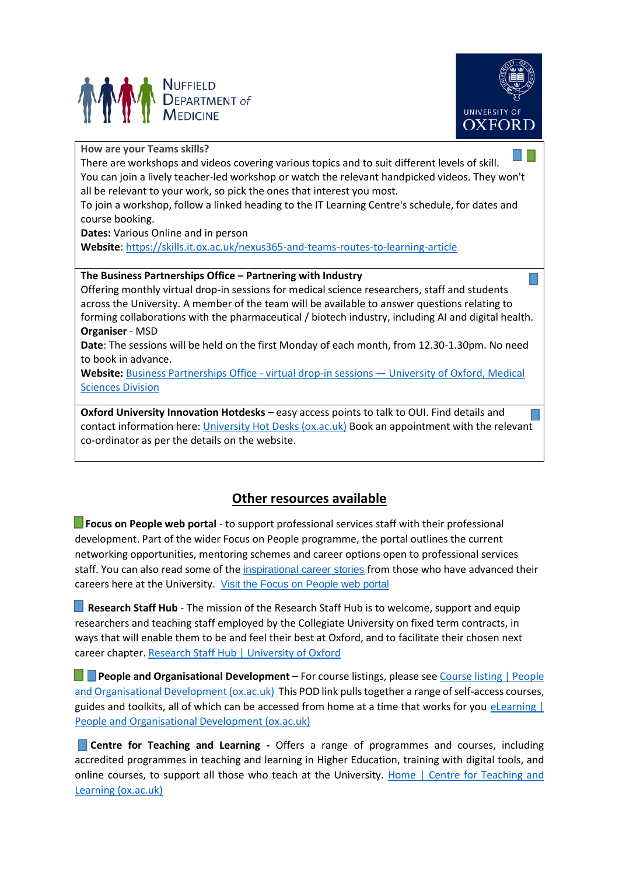



### **How are your Teams skills?**

There are workshops and videos covering various topics and to suit different levels of skill. You can join a lively teacher-led workshop or watch the relevant handpicked videos. They won't all be relevant to your work, so pick the ones that interest you most.

To join a workshop, follow a linked heading to the IT Learning Centre's schedule, for dates and course booking.

**Dates:** Various Online and in person

**Website**: <https://skills.it.ox.ac.uk/nexus365-and-teams-routes-to-learning-article>

# **The Business Partnerships Office – Partnering with Industry**

Offering monthly virtual drop-in sessions for medical science researchers, staff and students across the University. A member of the team will be available to answer questions relating to forming collaborations with the pharmaceutical / biotech industry, including AI and digital health. **Organiser** - MSD

**Date**: The sessions will be held on the first Monday of each month, from 12.30-1.30pm. No need to book in advance.

**Website:** Business Partnerships Office - virtual drop-in sessions — [University of Oxford, Medical](https://www.medsci.ox.ac.uk/divisional-services/support-services-1/business-partnerships-office/business-partnerships-office-virtual-drop-in-sessions)  [Sciences Division](https://www.medsci.ox.ac.uk/divisional-services/support-services-1/business-partnerships-office/business-partnerships-office-virtual-drop-in-sessions)

**Oxford University Innovation Hotdesks** – easy access points to talk to OUI. Find details and contact information here: [University Hot Desks \(ox.ac.uk\)](https://innovation.ox.ac.uk/university-members/innovation-hotdesks/) Book an appointment with the relevant co-ordinator as per the details on the website.

# **Other resources available**

**Focus on People web portal** - to support professional services staff with their professional development. Part of the wider Focus on People programme, the portal outlines the current networking opportunities, mentoring schemes and career options open to professional services staff. You can also read some of the [inspirational career stories](https://pod.web.ox.ac.uk/article/career-profile.-sophia-bell) from those who have advanced their careers here at the University. [Visit the Focus on People web portal](https://pod.web.ox.ac.uk/focus-on-people)

**Research Staff Hub** - The mission of the Research Staff Hub is to welcome, support and equip researchers and teaching staff employed by the Collegiate University on fixed term contracts, in ways that will enable them to be and feel their best at Oxford, and to facilitate their chosen next career chapter. [Research Staff Hub | University of Oxford](https://www.ox.ac.uk/research/support-researchers/research-staff-hub)

**People and Organisational Development** – For course listings, please see Course listing | People [and Organisational Development \(ox.ac.uk\)](https://pod.admin.ox.ac.uk/course-listing) This POD link pulls together a range of self-access courses, guides and toolkits, all of which can be accessed from home at a time that works for you eLearning | [People and Organisational Development \(ox.ac.uk\)](https://pod.admin.ox.ac.uk/elearning)

**Centre for Teaching and Learning -** Offers a range of programmes and courses, including accredited programmes in teaching and learning in Higher Education, training with digital tools, and online courses, to support all those who teach at the University. Home | Centre for Teaching and [Learning \(ox.ac.uk\)](https://www.ctl.ox.ac.uk/)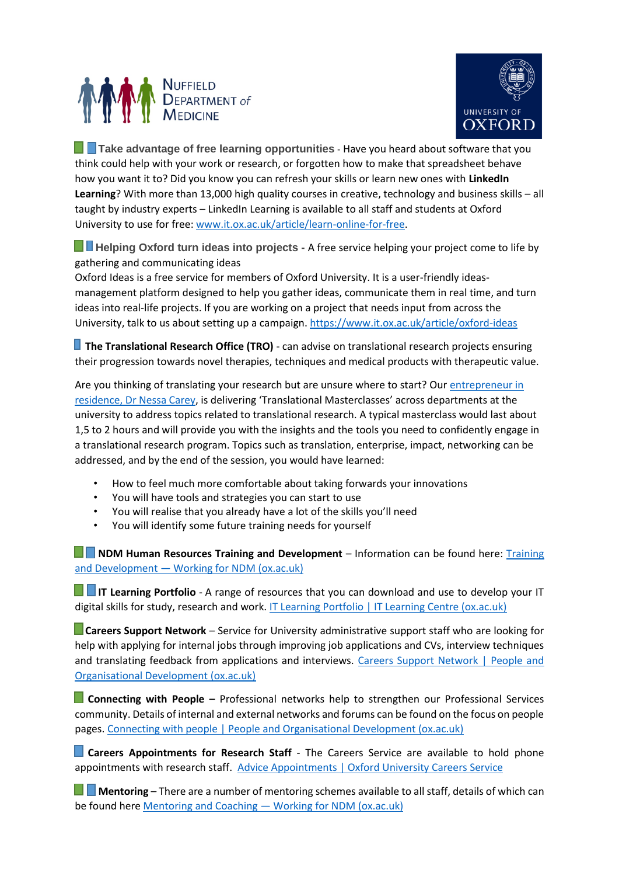



**Take advantage of free learning opportunities** - Have you heard about software that you think could help with your work or research, or forgotten how to make that spreadsheet behave how you want it to? Did you know you can refresh your skills or learn new ones with **LinkedIn Learning**? With more than 13,000 high quality courses in creative, technology and business skills – all taught by industry experts – LinkedIn Learning is available to all staff and students at Oxford University to use for free: [www.it.ox.ac.uk/article/learn-online-for-free.](http://newsletter.admin.ox.ac.uk/c/11lfnowdUQGZVhpli2RDS2otKk)

 **Helping Oxford turn ideas into projects -** A free service helping your project come to life by gathering and communicating ideas

Oxford Ideas is a free service for members of Oxford University. It is a user-friendly ideasmanagement platform designed to help you gather ideas, communicate them in real time, and turn ideas into real-life projects. If you are working on a project that needs input from across the University, talk to us about setting up a campaign. <https://www.it.ox.ac.uk/article/oxford-ideas>

**The Translational Research Office (TRO)** - can advise on translational research projects ensuring their progression towards novel therapies, techniques and medical products with therapeutic value.

Are you thinking of translating your research but are unsure where to start? Ou[r entrepreneur in](https://www.medsci.ox.ac.uk/divisional-services/support-services-1/translational-research-office/entrepreneur-in-residence/interview-with-dr-nessa-carey)  [residence, Dr Nessa Carey](https://www.medsci.ox.ac.uk/divisional-services/support-services-1/translational-research-office/entrepreneur-in-residence/interview-with-dr-nessa-carey), is delivering 'Translational Masterclasses' across departments at the university to address topics related to translational research. A typical masterclass would last about 1,5 to 2 hours and will provide you with the insights and the tools you need to confidently engage in a translational research program. Topics such as translation, enterprise, impact, networking can be addressed, and by the end of the session, you would have learned:

- How to feel much more comfortable about taking forwards your innovations
- You will have tools and strategies you can start to use
- You will realise that you already have a lot of the skills you'll need
- You will identify some future training needs for yourself

**NDM Human Resources [Training](https://www.ndm.ox.ac.uk/working-for-ndm/working-for-ndm/further-development/training-and-development) and Development** – Information can be found here: Training and Development — [Working for NDM \(ox.ac.uk\)](https://www.ndm.ox.ac.uk/working-for-ndm/working-for-ndm/further-development/training-and-development)

**IF IT Learning Portfolio** - A range of resources that you can download and use to develop your IT digital skills for study, research and work. [IT Learning Portfolio | IT Learning Centre \(ox.ac.uk\)](https://skills.it.ox.ac.uk/it-learning-portfolio#/)

 **Careers Support Network** – Service for University administrative support staff who are looking for help with applying for internal jobs through improving job applications and CVs, interview techniques and translating feedback from applications and interviews. [Careers Support Network | People and](https://pod.admin.ox.ac.uk/careers-support-network)  [Organisational Development \(ox.ac.uk\)](https://pod.admin.ox.ac.uk/careers-support-network)

 **Connecting with People –** Professional networks help to strengthen our Professional Services community. Details of internal and external networks and forums can be found on the focus on people pages. [Connecting with people | People and Organisational Development \(ox.ac.uk\)](https://pod.web.ox.ac.uk/connecting-with-people)

**Careers Appointments for Research Staff** - The Careers Service are available to hold phone appointments with research staff. [Advice Appointments | Oxford University Careers Service](https://www.careers.ox.ac.uk/advice-appointments/#collapse1569496)

 **Mentoring** – There are a number of mentoring schemes available to all staff, details of which can be found here Mentoring and Coaching — [Working for NDM \(ox.ac.uk\)](https://www.ndm.ox.ac.uk/working-for-ndm/working-for-ndm/further-development/mentoring-and-coaching)